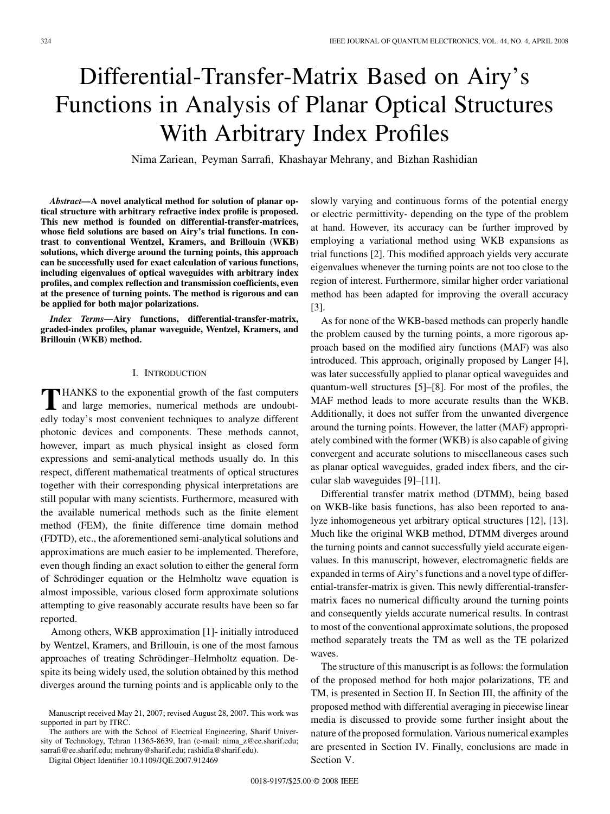# Differential-Transfer-Matrix Based on Airy's Functions in Analysis of Planar Optical Structures With Arbitrary Index Profiles

Nima Zariean, Peyman Sarrafi, Khashayar Mehrany, and Bizhan Rashidian

*Abstract—***A novel analytical method for solution of planar optical structure with arbitrary refractive index profile is proposed. This new method is founded on differential-transfer-matrices, whose field solutions are based on Airy's trial functions. In contrast to conventional Wentzel, Kramers, and Brillouin (WKB) solutions, which diverge around the turning points, this approach can be successfully used for exact calculation of various functions, including eigenvalues of optical waveguides with arbitrary index profiles, and complex reflection and transmission coefficients, even at the presence of turning points. The method is rigorous and can be applied for both major polarizations.**

*Index Terms—***Airy functions, differential-transfer-matrix, graded-index profiles, planar waveguide, Wentzel, Kramers, and Brillouin (WKB) method.**

## I. INTRODUCTION

**T**HANKS to the exponential growth of the fast computers and large memories, numerical methods are undoubtedly today's most convenient techniques to analyze different photonic devices and components. These methods cannot, however, impart as much physical insight as closed form expressions and semi-analytical methods usually do. In this respect, different mathematical treatments of optical structures together with their corresponding physical interpretations are still popular with many scientists. Furthermore, measured with the available numerical methods such as the finite element method (FEM), the finite difference time domain method (FDTD), etc., the aforementioned semi-analytical solutions and approximations are much easier to be implemented. Therefore, even though finding an exact solution to either the general form of Schrödinger equation or the Helmholtz wave equation is almost impossible, various closed form approximate solutions attempting to give reasonably accurate results have been so far reported.

Among others, WKB approximation [1]- initially introduced by Wentzel, Kramers, and Brillouin, is one of the most famous approaches of treating Schrödinger–Helmholtz equation. Despite its being widely used, the solution obtained by this method diverges around the turning points and is applicable only to the

The authors are with the School of Electrical Engineering, Sharif University of Technology, Tehran 11365-8639, Iran (e-mail: nima\_z@ee.sharif.edu; sarrafi@ee.sharif.edu; mehrany@sharif.edu; rashidia@sharif.edu).

Digital Object Identifier 10.1109/JQE.2007.912469

slowly varying and continuous forms of the potential energy or electric permittivity- depending on the type of the problem at hand. However, its accuracy can be further improved by employing a variational method using WKB expansions as trial functions [2]. This modified approach yields very accurate eigenvalues whenever the turning points are not too close to the region of interest. Furthermore, similar higher order variational method has been adapted for improving the overall accuracy [3].

As for none of the WKB-based methods can properly handle the problem caused by the turning points, a more rigorous approach based on the modified airy functions (MAF) was also introduced. This approach, originally proposed by Langer [4], was later successfully applied to planar optical waveguides and quantum-well structures [5]–[8]. For most of the profiles, the MAF method leads to more accurate results than the WKB. Additionally, it does not suffer from the unwanted divergence around the turning points. However, the latter (MAF) appropriately combined with the former (WKB) is also capable of giving convergent and accurate solutions to miscellaneous cases such as planar optical waveguides, graded index fibers, and the circular slab waveguides [9]–[11].

Differential transfer matrix method (DTMM), being based on WKB-like basis functions, has also been reported to analyze inhomogeneous yet arbitrary optical structures [12], [13]. Much like the original WKB method, DTMM diverges around the turning points and cannot successfully yield accurate eigenvalues. In this manuscript, however, electromagnetic fields are expanded in terms of Airy's functions and a novel type of differential-transfer-matrix is given. This newly differential-transfermatrix faces no numerical difficulty around the turning points and consequently yields accurate numerical results. In contrast to most of the conventional approximate solutions, the proposed method separately treats the TM as well as the TE polarized waves.

The structure of this manuscript is as follows: the formulation of the proposed method for both major polarizations, TE and TM, is presented in Section II. In Section III, the affinity of the proposed method with differential averaging in piecewise linear media is discussed to provide some further insight about the nature of the proposed formulation. Various numerical examples are presented in Section IV. Finally, conclusions are made in Section V.

Manuscript received May 21, 2007; revised August 28, 2007. This work was supported in part by ITRC.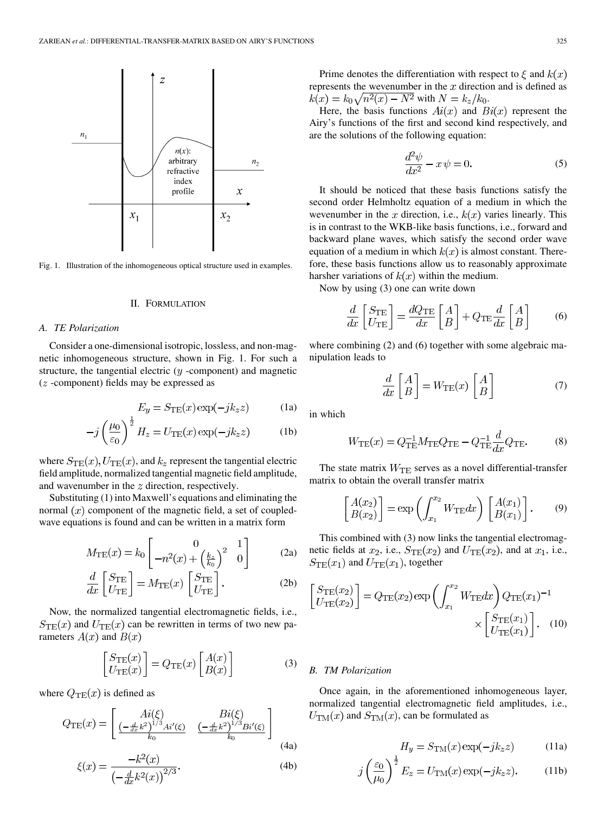

Fig. 1. Illustration of the inhomogeneous optical structure used in examples.

# II. FORMULATION

## *A. TE Polarization*

Consider a one-dimensional isotropic, lossless, and non-magnetic inhomogeneous structure, shown in Fig. 1. For such a structure, the tangential electric  $(y - component)$  and magnetic  $(z$  -component) fields may be expressed as

$$
E_y = S_{\text{TE}}(x) \exp(-jk_z z) \tag{1a}
$$

$$
-j\left(\frac{\mu_0}{\varepsilon_0}\right)^2 H_z = U_{\rm TE}(x) \exp(-jk_z z) \tag{1b}
$$

where  $S_{\text{TE}}(x)$ ,  $U_{\text{TE}}(x)$ , and  $k_z$  represent the tangential electric field amplitude, normalized tangential magnetic field amplitude, and wavenumber in the  $z$  direction, respectively.

Substituting (1) into Maxwell's equations and eliminating the normal  $(x)$  component of the magnetic field, a set of coupledwave equations is found and can be written in a matrix form

$$
M_{\rm TE}(x) = k_0 \begin{bmatrix} 0 & 1 \ -n^2(x) + \left(\frac{k_z}{k_0}\right)^2 & 0 \end{bmatrix}
$$
 (2a)

$$
\frac{d}{dx}\left[\frac{S_{\text{TE}}}{U_{\text{TE}}}\right] = M_{\text{TE}}(x)\left[\frac{S_{\text{TE}}}{U_{\text{TE}}}\right].\tag{2b}
$$

Now, the normalized tangential electromagnetic fields, i.e.,  $S_{\text{TE}}(x)$  and  $U_{\text{TE}}(x)$  can be rewritten in terms of two new parameters  $A(x)$  and  $B(x)$ 

$$
\begin{bmatrix} S_{\text{TE}}(x) \\ U_{\text{TE}}(x) \end{bmatrix} = Q_{\text{TE}}(x) \begin{bmatrix} A(x) \\ B(x) \end{bmatrix}
$$
 (3)

where  $Q_{TE}(x)$  is defined as

$$
Q_{\text{TE}}(x) = \begin{bmatrix} Ai(\xi) & Bi(\xi) \\ \frac{(-\frac{d}{dx}k^2)^{1/3}Ai'(\xi)}{k_0} & \frac{(-\frac{d}{dx}k^2)^{1/3}Bi'(\xi)}{k_0} \end{bmatrix}
$$
(4a)

$$
\xi(x) = \frac{-\kappa^2(x)}{\left(-\frac{d}{dx}k^2(x)\right)^{2/3}}.
$$
\n(4b)

Prime denotes the differentiation with respect to  $\xi$  and  $k(x)$ represents the wevenumber in the  $x$  direction and is defined as  $k(x) = k_0 \sqrt{n^2(x) - N^2}$  with  $N = k_z / k_0$ .

Here, the basis functions  $Ai(x)$  and  $Bi(x)$  represent the Airy's functions of the first and second kind respectively, and are the solutions of the following equation:

$$
\frac{d^2\psi}{dx^2} - x\psi = 0.
$$
 (5)

It should be noticed that these basis functions satisfy the second order Helmholtz equation of a medium in which the wevenumber in the x direction, i.e.,  $k(x)$  varies linearly. This is in contrast to the WKB-like basis functions, i.e., forward and backward plane waves, which satisfy the second order wave equation of a medium in which  $k(x)$  is almost constant. Therefore, these basis functions allow us to reasonably approximate harsher variations of  $k(x)$  within the medium.

Now by using (3) one can write down

$$
\frac{d}{dx}\left[\frac{S_{\text{TE}}}{U_{\text{TE}}}\right] = \frac{dQ_{\text{TE}}}{dx}\left[\frac{A}{B}\right] + Q_{\text{TE}}\frac{d}{dx}\left[\frac{A}{B}\right] \tag{6}
$$

where combining (2) and (6) together with some algebraic manipulation leads to

$$
\frac{d}{dx}\begin{bmatrix} A \\ B \end{bmatrix} = W_{\text{TE}}(x)\begin{bmatrix} A \\ B \end{bmatrix} \tag{7}
$$

in which

$$
W_{\rm TE}(x) = Q_{\rm TE}^{-1} M_{\rm TE} Q_{\rm TE} - Q_{\rm TE}^{-1} \frac{d}{dx} Q_{\rm TE}.
$$
 (8)

The state matrix  $W_{\text{TE}}$  serves as a novel differential-transfer matrix to obtain the overall transfer matrix

$$
\begin{bmatrix} A(x_2) \\ B(x_2) \end{bmatrix} = \exp\left(\int_{x_1}^{x_2} W_{\text{TE}} dx\right) \begin{bmatrix} A(x_1) \\ B(x_1) \end{bmatrix}.
$$
 (9)

This combined with (3) now links the tangential electromagnetic fields at  $x_2$ , i.e.,  $S_{\text{TE}}(x_2)$  and  $U_{\text{TE}}(x_2)$ , and at  $x_1$ , i.e.,  $S_{\text{TE}}(x_1)$  and  $U_{\text{TE}}(x_1)$ , together

$$
\begin{bmatrix} S_{\text{TE}}(x_2) \\ U_{\text{TE}}(x_2) \end{bmatrix} = Q_{\text{TE}}(x_2) \exp\left(\int_{x_1}^{x_2} W_{\text{TE}} dx\right) Q_{\text{TE}}(x_1)^{-1} \times \begin{bmatrix} S_{\text{TE}}(x_1) \\ U_{\text{TE}}(x_1) \end{bmatrix} . \quad (10)
$$

#### *B. TM Polarization*

Once again, in the aforementioned inhomogeneous layer, normalized tangential electromagnetic field amplitudes, i.e.,  $U_{\text{TM}}(x)$  and  $S_{\text{TM}}(x)$ , can be formulated as

$$
H_y = S_{\text{TM}}(x) \exp(-jk_z z)
$$
 (11a)

$$
j\left(\frac{\varepsilon_0}{\mu_0}\right)^{\frac{1}{2}}E_z = U_{\rm TM}(x)\exp(-jk_z z). \tag{11b}
$$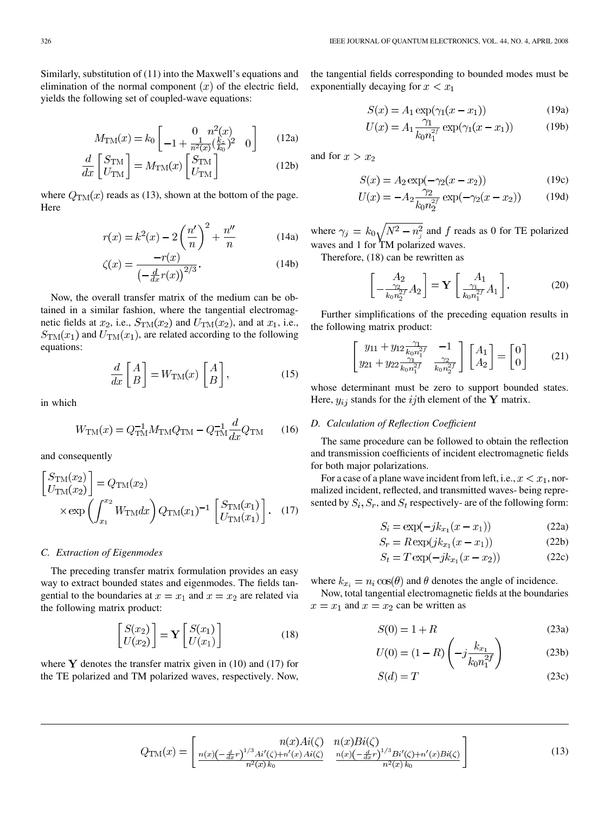Similarly, substitution of (11) into the Maxwell's equations and elimination of the normal component  $(x)$  of the electric field, yields the following set of coupled-wave equations:

$$
M_{\rm TM}(x) = k_0 \begin{bmatrix} 0 & n^2(x) \\ -1 + \frac{1}{n^2(x)} \left(\frac{k_z}{k_0}\right)^2 & 0 \end{bmatrix}
$$
 (12a)

$$
\frac{d}{dx}\begin{bmatrix} S_{\text{TM}} \\ U_{\text{TM}} \end{bmatrix} = M_{\text{TM}}(x) \begin{bmatrix} S_{\text{TM}} \\ U_{\text{TM}} \end{bmatrix}
$$
\n(12b)

where  $Q_{TM}(x)$  reads as (13), shown at the bottom of the page. Here

$$
r(x) = k^{2}(x) - 2\left(\frac{n'}{n}\right)^{2} + \frac{n''}{n}
$$
 (14a)

$$
\zeta(x) = \frac{-r(x)}{\left(-\frac{d}{dx}r(x)\right)^{2/3}}.\tag{14b}
$$

Now, the overall transfer matrix of the medium can be obtained in a similar fashion, where the tangential electromagnetic fields at  $x_2$ , i.e.,  $S_{TM}(x_2)$  and  $U_{TM}(x_2)$ , and at  $x_1$ , i.e.,  $S_{TM}(x_1)$  and  $U_{TM}(x_1)$ , are related according to the following equations:

$$
\frac{d}{dx}\begin{bmatrix} A \\ B \end{bmatrix} = W_{\text{TM}}(x)\begin{bmatrix} A \\ B \end{bmatrix},\tag{15}
$$

in which

$$
W_{\rm TM}(x) = Q_{\rm TM}^{-1} M_{\rm TM} Q_{\rm TM} - Q_{\rm TM}^{-1} \frac{d}{dx} Q_{\rm TM}
$$
 (16)

and consequently

$$
\begin{bmatrix} S_{\text{TM}}(x_2) \\ U_{\text{TM}}(x_2) \end{bmatrix} = Q_{\text{TM}}(x_2)
$$

$$
\times \exp\left(\int_{x_1}^{x_2} W_{\text{TM}} dx\right) Q_{\text{TM}}(x_1)^{-1} \begin{bmatrix} S_{\text{TM}}(x_1) \\ U_{\text{TM}}(x_1) \end{bmatrix}.
$$
 (17)

#### *C. Extraction of Eigenmodes*

The preceding transfer matrix formulation provides an easy way to extract bounded states and eigenmodes. The fields tangential to the boundaries at  $x = x_1$  and  $x = x_2$  are related via the following matrix product:

$$
\begin{bmatrix} S(x_2) \\ U(x_2) \end{bmatrix} = \mathbf{Y} \begin{bmatrix} S(x_1) \\ U(x_1) \end{bmatrix}
$$
 (18)

where  $\bf{Y}$  denotes the transfer matrix given in (10) and (17) for the TE polarized and TM polarized waves, respectively. Now,

the tangential fields corresponding to bounded modes must be exponentially decaying for  $x < x_1$ 

$$
S(x) = A_1 \exp(\gamma_1(x - x_1))
$$
 (19a)

$$
U(x) = A_1 \frac{\gamma_1}{k_0 n_1^{2f}} \exp(\gamma_1 (x - x_1))
$$
 (19b)

and for  $x > x_2$ 

$$
S(x) = A_2 \exp(-\gamma_2(x - x_2))
$$
 (19c)

$$
U(x) = -A_2 \frac{\gamma_2}{k_0 n_2^{2f}} \exp(-\gamma_2 (x - x_2))
$$
 (19d)

where  $\gamma_j = k_0 \sqrt{N^2 - n_j^2}$  and f reads as 0 for TE polarized waves and 1 for TM polarized waves.

Therefore, (18) can be rewritten as

$$
\left[\frac{A_2}{k_0 n_2^{2f}} A_2\right] = \mathbf{Y} \left[\frac{A_1}{k_0 n_1^{2f}} A_1\right].
$$
 (20)

Further simplifications of the preceding equation results in the following matrix product:

$$
\begin{bmatrix} y_{11} + y_{12} \frac{\gamma_1}{k_0 n_1^{2f}} & -1 \\ y_{21} + y_{22} \frac{\gamma_1}{k_0 n_1^{2f}} & \frac{\gamma_2}{k_0 n_2^{2f}} \end{bmatrix} \begin{bmatrix} A_1 \\ A_2 \end{bmatrix} = \begin{bmatrix} 0 \\ 0 \end{bmatrix}
$$
 (21)

whose determinant must be zero to support bounded states. Here,  $y_{ij}$  stands for the ijth element of the Y matrix.

# *D. Calculation of Reflection Coefficient*

The same procedure can be followed to obtain the reflection and transmission coefficients of incident electromagnetic fields for both major polarizations.

For a case of a plane wave incident from left, i.e.,  $x < x_1$ , normalized incident, reflected, and transmitted waves- being represented by  $S_i$ ,  $S_r$ , and  $S_t$  respectively- are of the following form:

$$
S_i = \exp(-jk_{x_1}(x - x_1))
$$
 (22a)

$$
S_r = R \exp(jk_{x_1}(x - x_1))
$$
 (22b)

$$
S_t = T \exp(-jk_{x_1}(x - x_2))
$$
 (22c)

where  $k_{x_i} = n_i \cos(\theta)$  and  $\theta$  denotes the angle of incidence.

Now, total tangential electromagnetic fields at the boundaries  $x = x_1$  and  $x = x_2$  can be written as

$$
S(0) = 1 + R \tag{23a}
$$

$$
U(0) = (1 - R) \left( -j \frac{k_{x_1}}{k_0 n_1^{2f}} \right)
$$
 (23b)

$$
S(d) = T \tag{23c}
$$

$$
Q_{\text{TM}}(x) = \begin{bmatrix} n(x)Ai(\zeta) & n(x)Bi(\zeta) \\ \frac{n(x)(-\frac{d}{dx}r)^{1/3}Ai'(\zeta) + n'(x)Ai(\zeta)}{n^2(x)k_0} & \frac{n(x)(-\frac{d}{dx}r)^{1/3}Bi'(\zeta) + n'(x)Bi(\zeta)}{n^2(x)k_0} \end{bmatrix}
$$
(13)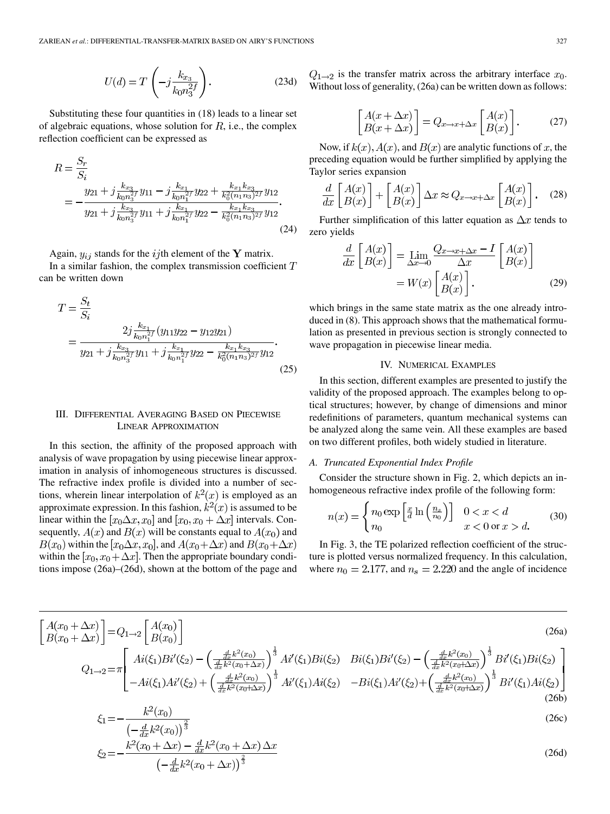$$
U(d) = T\left(-j\frac{k_{x_3}}{k_0 n_3^{2f}}\right).
$$
 (23d)

Substituting these four quantities in (18) leads to a linear set of algebraic equations, whose solution for  $R$ , i.e., the complex reflection coefficient can be expressed as

$$
R = \frac{S_r}{S_i}
$$
  
= 
$$
-\frac{y_{21} + j\frac{k_{x_3}}{k_0 n_3^{2f}} y_{11} - j\frac{k_{x_1}}{k_0 n_1^{2f}} y_{22} + \frac{k_{x_1}k_{x_3}}{k_0^{2}(n_1 n_3)^{2f}} y_{12}}{y_{21} + j\frac{k_{x_3}}{k_0 n_3^{2f}} y_{11} + j\frac{k_{x_1}}{k_0 n_1^{2f}} y_{22} - \frac{k_{x_1}k_{x_3}}{k_0^{2}(n_1 n_3)^{2f}} y_{12}}.
$$
(24)

Again,  $y_{ij}$  stands for the ijth element of the Y matrix. In a similar fashion, the complex transmission coefficient  $T$ can be written down

$$
T = \frac{S_t}{S_i}
$$
  
= 
$$
\frac{2j \frac{k_{x_1}}{k_0 n_1^{2f}} (y_{11} y_{22} - y_{12} y_{21})}{y_{21} + j \frac{k_{x_3}}{k_0 n_3^{2f}} y_{11} + j \frac{k_{x_1}}{k_0 n_1^{2f}} y_{22} - \frac{k_{x_1} k_{x_3}}{k_0^{2}(n_1 n_3)^{2f}} y_{12}}.
$$
(25)

# III. DIFFERENTIAL AVERAGING BASED ON PIECEWISE LINEAR APPROXIMATION

In this section, the affinity of the proposed approach with analysis of wave propagation by using piecewise linear approximation in analysis of inhomogeneous structures is discussed. The refractive index profile is divided into a number of sections, wherein linear interpolation of  $k^2(x)$  is employed as an approximate expression. In this fashion,  $k^2(x)$  is assumed to be linear within the  $[x_0\Delta x, x_0]$  and  $[x_0, x_0 + \Delta x]$  intervals. Consequently,  $A(x)$  and  $B(x)$  will be constants equal to  $A(x_0)$  and  $B(x_0)$  within the  $[x_0\Delta x, x_0]$ , and  $A(x_0+\Delta x)$  and  $B(x_0+\Delta x)$ within the  $[x_0, x_0 + \Delta x]$ . Then the appropriate boundary conditions impose (26a)–(26d), shown at the bottom of the page and  $Q_{1\rightarrow 2}$  is the transfer matrix across the arbitrary interface  $x_0$ . Without loss of generality, (26a) can be written down as follows:

$$
\begin{bmatrix} A(x + \Delta x) \\ B(x + \Delta x) \end{bmatrix} = Q_{x \to x + \Delta x} \begin{bmatrix} A(x) \\ B(x) \end{bmatrix}.
$$
 (27)

Now, if  $k(x)$ ,  $A(x)$ , and  $B(x)$  are analytic functions of x, the preceding equation would be further simplified by applying the Taylor series expansion

$$
\frac{d}{dx}\begin{bmatrix} A(x) \\ B(x) \end{bmatrix} + \begin{bmatrix} A(x) \\ B(x) \end{bmatrix} \Delta x \approx Q_{x \to x + \Delta x} \begin{bmatrix} A(x) \\ B(x) \end{bmatrix}.
$$
 (28)

Further simplification of this latter equation as  $\Delta x$  tends to zero yields

$$
\frac{d}{dx} \begin{bmatrix} A(x) \\ B(x) \end{bmatrix} = \lim_{\Delta x \to 0} \frac{Q_{x \to x + \Delta x} - I}{\Delta x} \begin{bmatrix} A(x) \\ B(x) \end{bmatrix}
$$
\n
$$
= W(x) \begin{bmatrix} A(x) \\ B(x) \end{bmatrix} .
$$
\n(29)

which brings in the same state matrix as the one already introduced in (8). This approach shows that the mathematical formulation as presented in previous section is strongly connected to wave propagation in piecewise linear media.

#### IV. NUMERICAL EXAMPLES

In this section, different examples are presented to justify the validity of the proposed approach. The examples belong to optical structures; however, by change of dimensions and minor redefinitions of parameters, quantum mechanical systems can be analyzed along the same vein. All these examples are based on two different profiles, both widely studied in literature.

### *A. Truncated Exponential Index Profile*

 $\epsilon$ 

Consider the structure shown in Fig. 2, which depicts an inhomogeneous refractive index profile of the following form:

$$
n(x) = \begin{cases} n_0 \exp\left[\frac{x}{d}\ln\left(\frac{n_s}{n_0}\right)\right] & 0 < x < d \\ n_0 & x < 0 \text{ or } x > d. \end{cases} \tag{30}
$$

In Fig. 3, the TE polarized reflection coefficient of the structure is plotted versus normalized frequency. In this calculation, where  $n_0 = 2.177$ , and  $n_s = 2.220$  and the angle of incidence

$$
\begin{bmatrix}\nA(x_0 + \Delta x) \\
B(x_0 + \Delta x)\n\end{bmatrix} = Q_{1 \to 2} \begin{bmatrix}\nA(x_0) \\
B(x_0)\n\end{bmatrix}
$$
\n(26a)  
\n
$$
Q_{1 \to 2} = \pi \begin{bmatrix}\nAi(\xi_1) Bi'(\xi_2) - \left(\frac{\frac{d}{dx} k^2(x_0)}{\frac{d}{dx} k^2(x_0 + \Delta x)}\right)^{\frac{1}{3}} Ai'(\xi_1) Bi(\xi_2) & Bi(\xi_1) Bi'(\xi_2) - \left(\frac{\frac{d}{dx} k^2(x_0)}{\frac{d}{dx} k^2(x_0 + \Delta x)}\right)^{\frac{1}{3}} Bi'(\xi_1) Bi(\xi_2) \\
-Ai(\xi_1) Ai'(\xi_2) + \left(\frac{\frac{d}{dx} k^2(x_0)}{\frac{d}{dx} k^2(x_0 + \Delta x)}\right)^{\frac{1}{3}} Ai'(\xi_1) Ai(\xi_2) & -Bi(\xi_1) Ai'(\xi_2) + \left(\frac{\frac{d}{dx} k^2(x_0)}{\frac{d}{dx} k^2(x_0 + \Delta x)}\right)^{\frac{1}{3}} Bi'(\xi_1) Ai(\xi_2) \\
\xi_1 = -\frac{k^2(x_0)}{2}
$$
\n(26b)  
\n(26c)

$$
\zeta_1 = \left(-\frac{d}{dx}k^2(x_0)\right)^{\frac{2}{3}}
$$
  

$$
\zeta_2 = -\frac{k^2(x_0 + \Delta x) - \frac{d}{dx}k^2(x_0 + \Delta x)\Delta x}{\left(-\frac{d}{dx}k^2(x_0 + \Delta x)\right)^{\frac{2}{3}}}
$$
 (26d)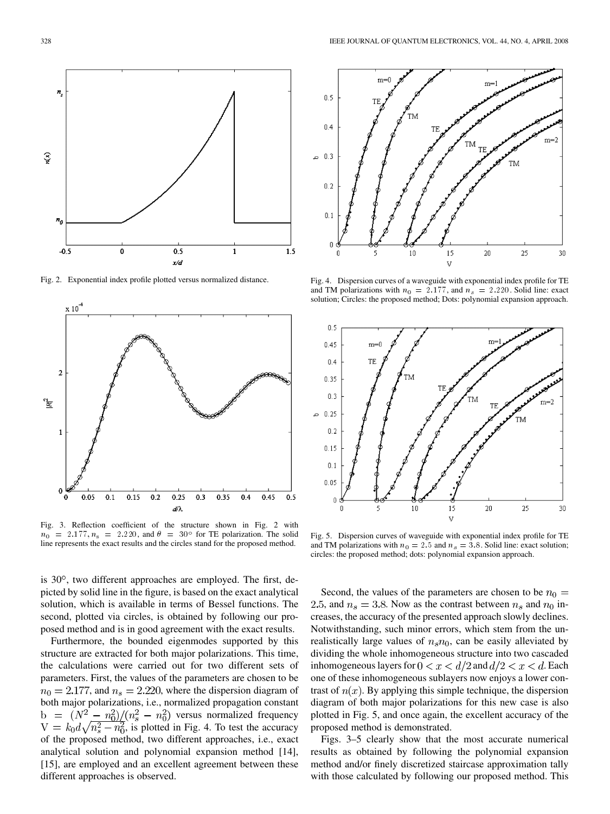

Fig. 2. Exponential index profile plotted versus normalized distance.



Fig. 3. Reflection coefficient of the structure shown in Fig. 2 with  $n_0 = 2.177, n_s = 2.220$ , and  $\theta = 30^\circ$  for TE polarization. The solid line represents the exact results and the circles stand for the proposed method.

is  $30^\circ$ , two different approaches are employed. The first, depicted by solid line in the figure, is based on the exact analytical solution, which is available in terms of Bessel functions. The second, plotted via circles, is obtained by following our proposed method and is in good agreement with the exact results.

Furthermore, the bounded eigenmodes supported by this structure are extracted for both major polarizations. This time, the calculations were carried out for two different sets of parameters. First, the values of the parameters are chosen to be  $n_0 = 2.177$ , and  $n_s = 2.220$ , where the dispersion diagram of both major polarizations, i.e., normalized propagation constant  $v = (N^2 - n_0^2)/(n_s^2 - n_0^2)$  versus normalized frequency  $V = k_0 d\sqrt{n_s^2 - n_0^2}$ , is plotted in Fig. 4. To test the accuracy of the proposed method, two different approaches, i.e., exact analytical solution and polynomial expansion method [14], [15], are employed and an excellent agreement between these different approaches is observed.



Fig. 4. Dispersion curves of a waveguide with exponential index profile for TE and TM polarizations with  $n_0 = 2.177$ , and  $n_s = 2.220$ . Solid line: exact solution; Circles: the proposed method; Dots: polynomial expansion approach.



Fig. 5. Dispersion curves of waveguide with exponential index profile for TE and TM polarizations with  $n_0 = 2.5$  and  $n_s = 3.8$ . Solid line: exact solution; circles: the proposed method; dots: polynomial expansion approach.

Second, the values of the parameters are chosen to be  $n_0 =$ 2.5, and  $n_s = 3.8$ . Now as the contrast between  $n_s$  and  $n_0$  increases, the accuracy of the presented approach slowly declines. Notwithstanding, such minor errors, which stem from the unrealistically large values of  $n_s n_0$ , can be easily alleviated by dividing the whole inhomogeneous structure into two cascaded inhomogeneous layers for  $0 < x < d/2$  and  $d/2 < x < d$ . Each one of these inhomogeneous sublayers now enjoys a lower contrast of  $n(x)$ . By applying this simple technique, the dispersion diagram of both major polarizations for this new case is also plotted in Fig. 5, and once again, the excellent accuracy of the proposed method is demonstrated.

Figs. 3–5 clearly show that the most accurate numerical results as obtained by following the polynomial expansion method and/or finely discretized staircase approximation tally with those calculated by following our proposed method. This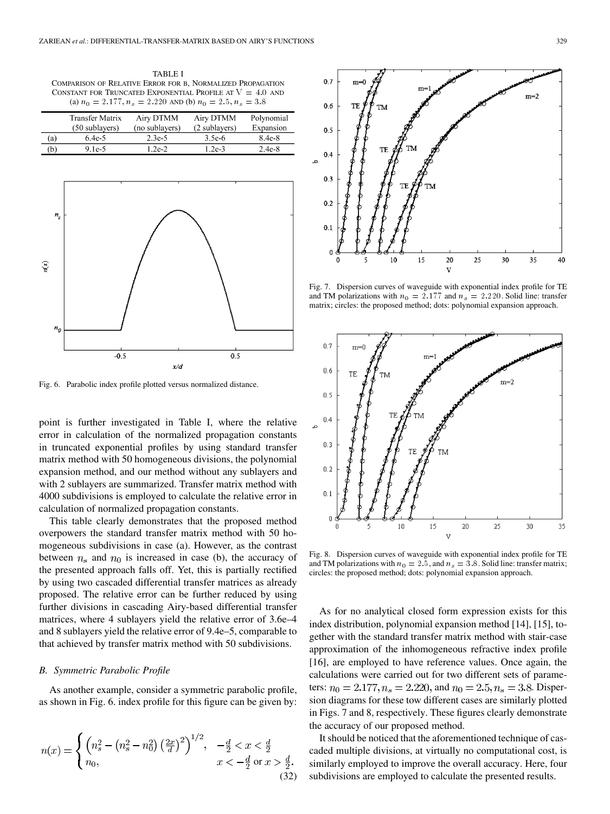TABLE I COMPARISON OF RELATIVE ERROR FOR B, NORMALIZED PROPAGATION CONSTANT FOR TRUNCATED EXPONENTIAL PROFILE AT  $V = 4.0$  and (a)  $n_0 = 2.177$ ,  $n_s = 2.220$  AND (b)  $n_0 = 2.5$ ,  $n_s = 3.8$ 

|     | <b>Transfer Matrix</b> | Airy DTMM      | Airy DTMM     | Polynomial |
|-----|------------------------|----------------|---------------|------------|
|     | (50 sublayers)         | (no sublayers) | (2 sublayers) | Expansion  |
| (a) | $6.4e-5$               | $2.3e-5$       | $3.5e-6$      | $8.4e-8$   |
| (b` | 9.1e-5                 | $1.2e-2.$      | $1.2e-3$      | $2.4e-8$   |



Fig. 6. Parabolic index profile plotted versus normalized distance.

point is further investigated in Table I, where the relative error in calculation of the normalized propagation constants in truncated exponential profiles by using standard transfer matrix method with 50 homogeneous divisions, the polynomial expansion method, and our method without any sublayers and with 2 sublayers are summarized. Transfer matrix method with 4000 subdivisions is employed to calculate the relative error in calculation of normalized propagation constants.

This table clearly demonstrates that the proposed method overpowers the standard transfer matrix method with 50 homogeneous subdivisions in case (a). However, as the contrast between  $n_s$  and  $n_0$  is increased in case (b), the accuracy of the presented approach falls off. Yet, this is partially rectified by using two cascaded differential transfer matrices as already proposed. The relative error can be further reduced by using further divisions in cascading Airy-based differential transfer matrices, where 4 sublayers yield the relative error of 3.6e–4 and 8 sublayers yield the relative error of 9.4e–5, comparable to that achieved by transfer matrix method with 50 subdivisions.

#### *B. Symmetric Parabolic Profile*

As another example, consider a symmetric parabolic profile, as shown in Fig. 6. index profile for this figure can be given by:

$$
n(x) = \begin{cases} \left(n_s^2 - \left(n_s^2 - n_0^2\right) \left(\frac{2x}{d}\right)^2\right)^{1/2}, & -\frac{d}{2} < x < \frac{d}{2} \\ n_0, & x < -\frac{d}{2} \text{ or } x > \frac{d}{2}. \end{cases}
$$
\n(32)



Fig. 7. Dispersion curves of waveguide with exponential index profile for TE and TM polarizations with  $n_0 = 2.177$  and  $n_s = 2.220$ . Solid line: transfer matrix; circles: the proposed method; dots: polynomial expansion approach.



Fig. 8. Dispersion curves of waveguide with exponential index profile for TE and TM polarizations with  $n_0 = 2.5$ , and  $n_s = 3.8$ . Solid line: transfer matrix; circles: the proposed method; dots: polynomial expansion approach.

As for no analytical closed form expression exists for this index distribution, polynomial expansion method [14], [15], together with the standard transfer matrix method with stair-case approximation of the inhomogeneous refractive index profile [16], are employed to have reference values. Once again, the calculations were carried out for two different sets of parameters:  $n_0 = 2.177, n_s = 2.220$ , and  $n_0 = 2.5, n_s = 3.8$ . Dispersion diagrams for these tow different cases are similarly plotted in Figs. 7 and 8, respectively. These figures clearly demonstrate the accuracy of our proposed method.

It should be noticed that the aforementioned technique of cascaded multiple divisions, at virtually no computational cost, is similarly employed to improve the overall accuracy. Here, four subdivisions are employed to calculate the presented results.